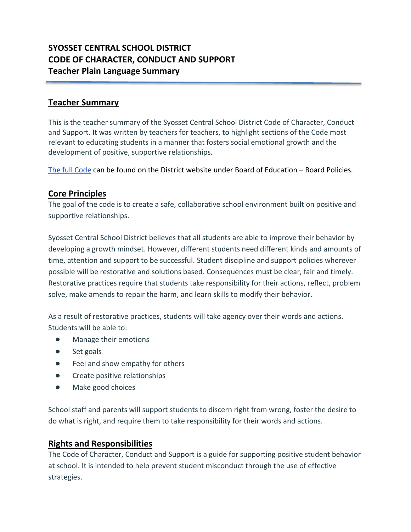# **SYOSSET CENTRAL SCHOOL DISTRICT CODE OF CHARACTER, CONDUCT AND SUPPORT Teacher Plain Language Summary**

### **Teacher Summary**

This is the teacher summary of the Syosset Central School District Code of Character, Conduct and Support. It was written by teachers for teachers, to highlight sections of the Code most relevant to educating students in a manner that fosters social emotional growth and the development of positive, supportive relationships.

[The full Code](https://www.syossetschools.org/cms/lib/NY50000216/Centricity/Domain/4/Policy%205300%20Code%20of%20conduct%20draft%2010.8.19.pdf) can be found on the District website under Board of Education – Board Policies.

#### **Core Principles**

The goal of the code is to create a safe, collaborative school environment built on positive and supportive relationships.

Syosset Central School District believes that all students are able to improve their behavior by developing a growth mindset. However, different students need different kinds and amounts of time, attention and support to be successful. Student discipline and support policies wherever possible will be restorative and solutions based. Consequences must be clear, fair and timely. Restorative practices require that students take responsibility for their actions, reflect, problem solve, make amends to repair the harm, and learn skills to modify their behavior.

As a result of restorative practices, students will take agency over their words and actions. Students will be able to:

- Manage their emotions
- Set goals
- Feel and show empathy for others
- Create positive relationships
- Make good choices

School staff and parents will support students to discern right from wrong, foster the desire to do what is right, and require them to take responsibility for their words and actions.

#### **Rights and Responsibilities**

The Code of Character, Conduct and Support is a guide for supporting positive student behavior at school. It is intended to help prevent student misconduct through the use of effective strategies.